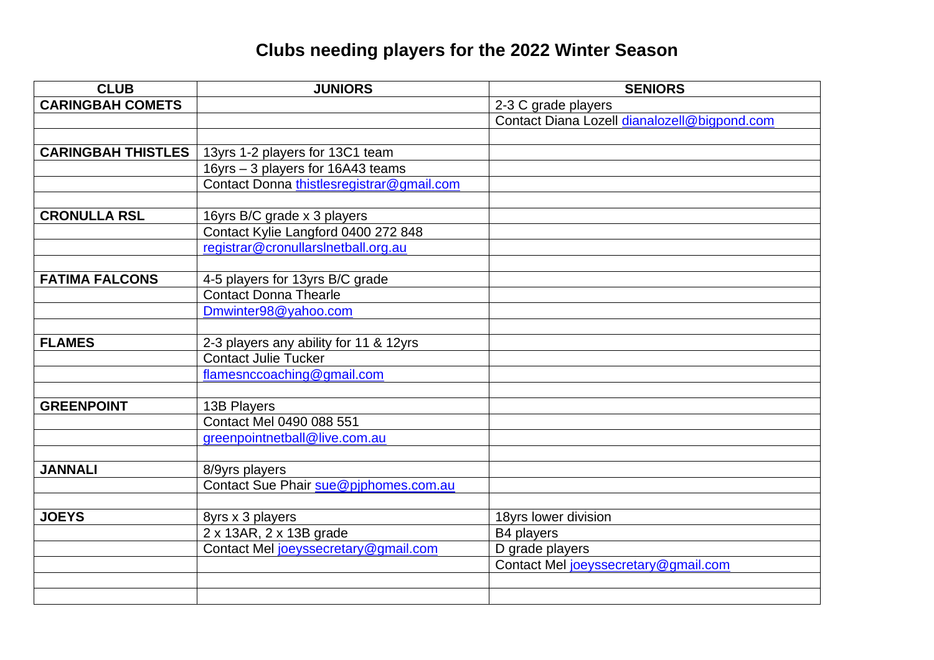## **Clubs needing players for the 2022 Winter Season**

| <b>CLUB</b>               | <b>JUNIORS</b>                            | <b>SENIORS</b>                               |
|---------------------------|-------------------------------------------|----------------------------------------------|
| <b>CARINGBAH COMETS</b>   |                                           | 2-3 C grade players                          |
|                           |                                           | Contact Diana Lozell dianalozell@bigpond.com |
|                           |                                           |                                              |
| <b>CARINGBAH THISTLES</b> | 13yrs 1-2 players for 13C1 team           |                                              |
|                           | 16yrs - 3 players for 16A43 teams         |                                              |
|                           | Contact Donna thistlesregistrar@gmail.com |                                              |
|                           |                                           |                                              |
| <b>CRONULLA RSL</b>       | 16yrs B/C grade x 3 players               |                                              |
|                           | Contact Kylie Langford 0400 272 848       |                                              |
|                           | registrar@cronullarslnetball.org.au       |                                              |
|                           |                                           |                                              |
| <b>FATIMA FALCONS</b>     | 4-5 players for 13yrs B/C grade           |                                              |
|                           | Contact Donna Thearle                     |                                              |
|                           | Dmwinter98@yahoo.com                      |                                              |
|                           |                                           |                                              |
| <b>FLAMES</b>             | 2-3 players any ability for 11 & 12yrs    |                                              |
|                           | <b>Contact Julie Tucker</b>               |                                              |
|                           | flamesnccoaching@gmail.com                |                                              |
|                           |                                           |                                              |
| <b>GREENPOINT</b>         | 13B Players                               |                                              |
|                           | Contact Mel 0490 088 551                  |                                              |
|                           | greenpointnetball@live.com.au             |                                              |
|                           |                                           |                                              |
| <b>JANNALI</b>            | 8/9yrs players                            |                                              |
|                           | Contact Sue Phair sue@pjphomes.com.au     |                                              |
|                           |                                           |                                              |
| <b>JOEYS</b>              | 8yrs x 3 players                          | 18yrs lower division                         |
|                           | 2 x 13AR, 2 x 13B grade                   | B4 players                                   |
|                           | Contact Mel joeyssecretary@gmail.com      | D grade players                              |
|                           |                                           | Contact Mel joeyssecretary@gmail.com         |
|                           |                                           |                                              |
|                           |                                           |                                              |